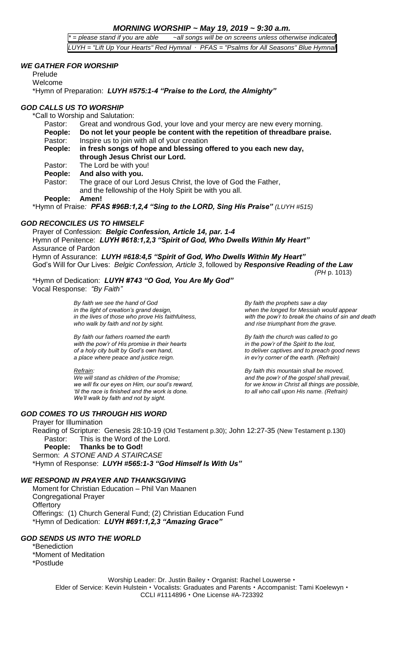## *MORNING WORSHIP ~ May 19, 2019 ~ 9:30 a.m.*

*\* = please stand if you are able ~all songs will be on screens unless otherwise indicated LUYH = "Lift Up Your Hearts" Red Hymnal ∙ PFAS = "Psalms for All Seasons" Blue Hymnal*

### *WE GATHER FOR WORSHIP*

Prelude Welcome \*Hymn of Preparation: *LUYH #575:1-4 "Praise to the Lord, the Almighty"*

## *GOD CALLS US TO WORSHIP*

\*Call to Worship and Salutation:

Pastor: Great and wondrous God, your love and your mercy are new every morning. **People: Do not let your people be content with the repetition of threadbare praise.** Pastor: Inspire us to join with all of your creation **People: in fresh songs of hope and blessing offered to you each new day, through Jesus Christ our Lord.** Pastor: The Lord be with you! **People: And also with you.** Pastor: The grace of our Lord Jesus Christ, the love of God the Father, and the fellowship of the Holy Spirit be with you all. **People: Amen!** \*Hymn of Praise*: PFAS #96B:1,2,4 "Sing to the LORD, Sing His Praise" (LUYH #515)*

# *GOD RECONCILES US TO HIMSELF*

Prayer of Confession: *Belgic Confession, Article 14, par. 1-4* Hymn of Penitence: *LUYH #618:1,2,3 "Spirit of God, Who Dwells Within My Heart"* Assurance of Pardon

Hymn of Assurance: *LUYH #618:4,5 "Spirit of God, Who Dwells Within My Heart"* God's Will for Our Lives: *Belgic Confession, Article 3*, followed by *Responsive Reading of the Law (PH* p. 1013)

#### \*Hymn of Dedication: *LUYH #743 "O God, You Are My God"* Vocal Response: *"By Faith"*

*By faith we see the hand of God By faith the prophets saw a day in the light of creation's grand design, when the longed for Messiah would appear*

*By faith our fathers roamed the earth By faith the church was called to go with the pow'r of His promise in their hearts in the pow'r of the Spirit to the lost, a place where peace and justice reign. in ev'ry corner of the earth. (Refrain)*

*We will stand as children of the Promise; we will fix our eyes on Him, our soul's reward, for we know in Christ all things are possible, 'til the race is finished and the work is done. We'll walk by faith and not by sight.*

*GOD COMES TO US THROUGH HIS WORD*

#### Prayer for Illumination

Reading of Scripture: Genesis 28:10-19 (Old Testament p.30); John 12:27-35 (New Testament p.130) Pastor: This is the Word of the Lord.

**People: Thanks be to God!**

Sermon: *A STONE AND A STAIRCASE*

\*Hymn of Response: *LUYH #565:1-3 "God Himself Is With Us"*

## *WE RESPOND IN PRAYER AND THANKSGIVING*

Moment for Christian Education – Phil Van Maanen Congregational Prayer **Offertory** Offerings: (1) Church General Fund; (2) Christian Education Fund \*Hymn of Dedication: *LUYH #691:1,2,3 "Amazing Grace"*

## *GOD SENDS US INTO THE WORLD*

\*Benediction

\*Moment of Meditation \*Postlude

> Worship Leader: Dr. Justin Bailey . Organist: Rachel Louwerse . Elder of Service: Kevin Hulstein • Vocalists: Graduates and Parents • Accompanist: Tami Koelewyn • CCLI #1114896 · One License #A-723392

*in the lives of those who prove His faithfulness, with the pow'r to break the chains of sin and death who walk by faith and not by sight. and rise triumphant from the grave.*

*of a holy city built by God's own hand, to deliver captives and to preach good news*

*Refrain: By faith this mountain shall be moved,*